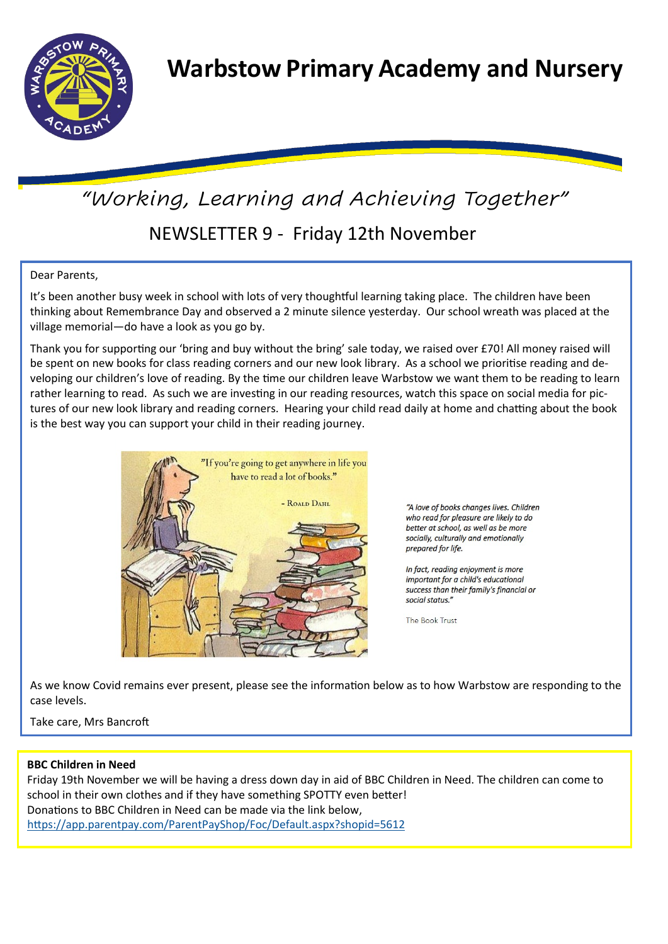

# NEWSLETTER 9 - Friday 12th November *"Working, Learning and Achieving Together"*

# Dear Parents,

It's been another busy week in school with lots of very thoughtful learning taking place. The children have been thinking about Remembrance Day and observed a 2 minute silence yesterday. Our school wreath was placed at the village memorial—do have a look as you go by.

Thank you for supporting our 'bring and buy without the bring' sale today, we raised over £70! All money raised will be spent on new books for class reading corners and our new look library. As a school we prioritise reading and developing our children's love of reading. By the time our children leave Warbstow we want them to be reading to learn rather learning to read. As such we are investing in our reading resources, watch this space on social media for pictures of our new look library and reading corners. Hearing your child read daily at home and chatting about the book is the best way you can support your child in their reading journey.



"A love of books changes lives. Children who read for pleasure are likely to do better at school, as well as be more socially, culturally and emotionally prepared for life.

In fact, reading enjoyment is more important for a child's educational success than their family's financial or social status"

The Book Trust

As we know Covid remains ever present, please see the information below as to how Warbstow are responding to the case levels.

## Take care, Mrs Bancroft

## **BBC Children in Need**

Friday 19th November we will be having a dress down day in aid of BBC Children in Need. The children can come to school in their own clothes and if they have something SPOTTY even better! Donations to BBC Children in Need can be made via the link below, [h](https://app.parentpay.com/ParentPayShop/Foc/Default.aspx?shopid=5612)ttps://app.parentpay.com/ParentPayShop/Foc/Default.aspx?shopid=5612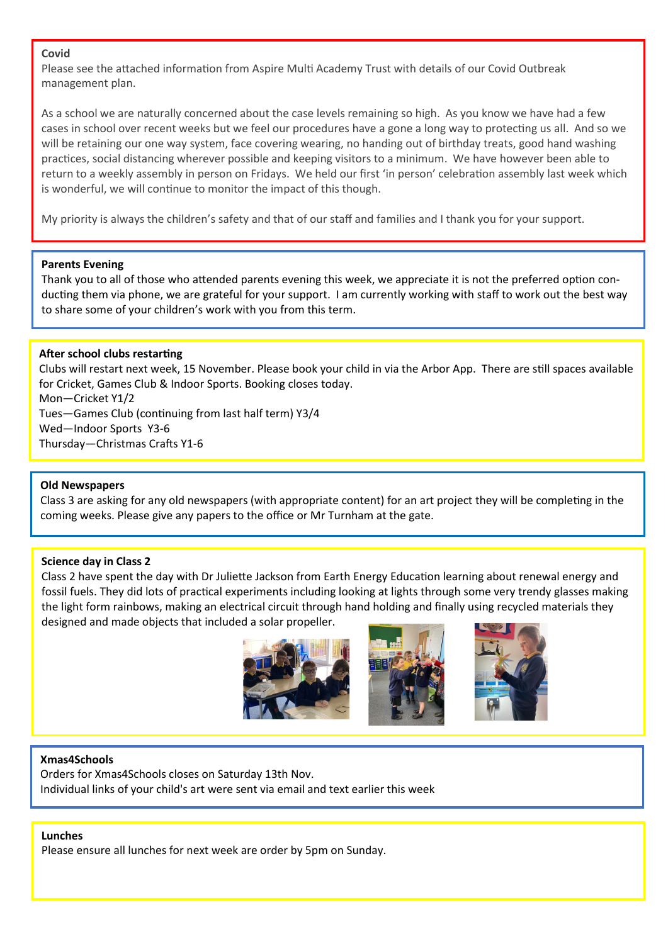## **Covid**

Please see the attached information from Aspire Multi Academy Trust with details of our Covid Outbreak management plan.

As a school we are naturally concerned about the case levels remaining so high. As you know we have had a few cases in school over recent weeks but we feel our procedures have a gone a long way to protecting us all. And so we will be retaining our one way system, face covering wearing, no handing out of birthday treats, good hand washing practices, social distancing wherever possible and keeping visitors to a minimum. We have however been able to return to a weekly assembly in person on Fridays. We held our first 'in person' celebration assembly last week which is wonderful, we will continue to monitor the impact of this though.

My priority is always the children's safety and that of our staff and families and I thank you for your support.

## **Parents Evening**

Thank you to all of those who attended parents evening this week, we appreciate it is not the preferred option conducting them via phone, we are grateful for your support. I am currently working with staff to work out the best way to share some of your children's work with you from this term.

## **After school clubs restarting**

Clubs will restart next week, 15 November. Please book your child in via the Arbor App. There are still spaces available for Cricket, Games Club & Indoor Sports. Booking closes today. Mon—Cricket Y1/2

Tues—Games Club (continuing from last half term) Y3/4 Wed—Indoor Sports Y3-6

Thursday—Christmas Crafts Y1-6

# **Old Newspapers**

Class 3 are asking for any old newspapers (with appropriate content) for an art project they will be completing in the coming weeks. Please give any papers to the office or Mr Turnham at the gate.

## **Science day in Class 2**

Class 2 have spent the day with Dr Juliette Jackson from Earth Energy Education learning about renewal energy and fossil fuels. They did lots of practical experiments including looking at lights through some very trendy glasses making the light form rainbows, making an electrical circuit through hand holding and finally using recycled materials they designed and made objects that included a solar propeller.



# **Xmas4Schools**

Orders for Xmas4Schools closes on Saturday 13th Nov. Individual links of your child's art were sent via email and text earlier this week

#### **Lunches**

Please ensure all lunches for next week are order by 5pm on Sunday.